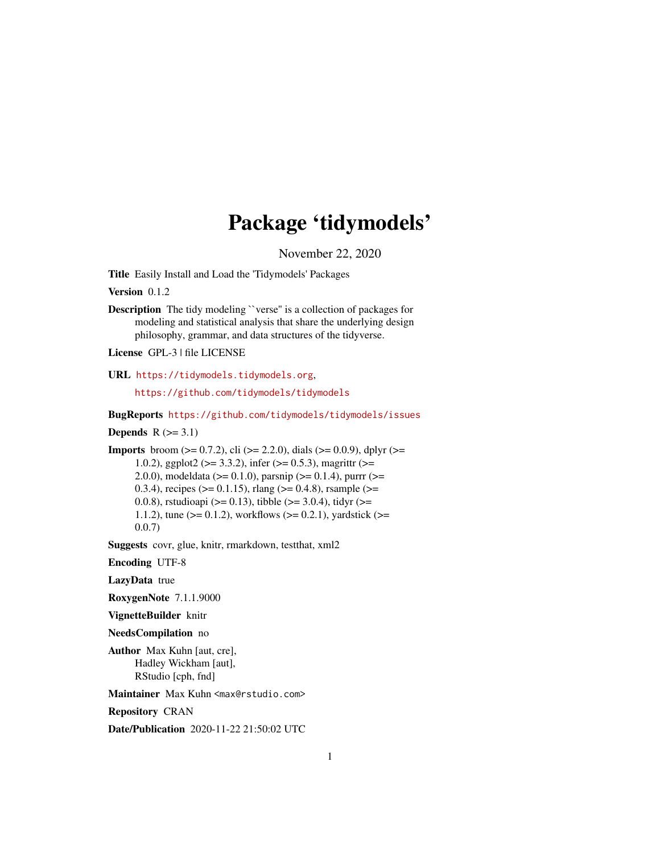## Package 'tidymodels'

November 22, 2020

Title Easily Install and Load the 'Tidymodels' Packages

Version 0.1.2

**Description** The tidy modeling "verse" is a collection of packages for modeling and statistical analysis that share the underlying design philosophy, grammar, and data structures of the tidyverse.

License GPL-3 | file LICENSE

URL <https://tidymodels.tidymodels.org>,

<https://github.com/tidymodels/tidymodels>

BugReports <https://github.com/tidymodels/tidymodels/issues>

Depends  $R$  ( $>= 3.1$ )

**Imports** broom ( $>= 0.7.2$ ), cli ( $>= 2.2.0$ ), dials ( $>= 0.0.9$ ), dplyr ( $>=$ 1.0.2), ggplot2 ( $>= 3.3.2$ ), infer ( $>= 0.5.3$ ), magrittr ( $>= 1.0.2$ ) 2.0.0), modeldata ( $>= 0.1.0$ ), parsnip ( $>= 0.1.4$ ), purrr ( $>=$ 0.3.4), recipes ( $> = 0.1.15$ ), rlang ( $> = 0.4.8$ ), rsample ( $> =$ 0.0.8), rstudioapi ( $>= 0.13$ ), tibble ( $>= 3.0.4$ ), tidyr ( $>= 0.13$ ) 1.1.2), tune ( $>= 0.1.2$ ), workflows ( $>= 0.2.1$ ), yardstick ( $>= 1.1.2$ ) 0.0.7)

Suggests covr, glue, knitr, rmarkdown, testthat, xml2

Encoding UTF-8

LazyData true

RoxygenNote 7.1.1.9000

VignetteBuilder knitr

NeedsCompilation no

Author Max Kuhn [aut, cre], Hadley Wickham [aut], RStudio [cph, fnd]

Maintainer Max Kuhn <max@rstudio.com>

Repository CRAN

Date/Publication 2020-11-22 21:50:02 UTC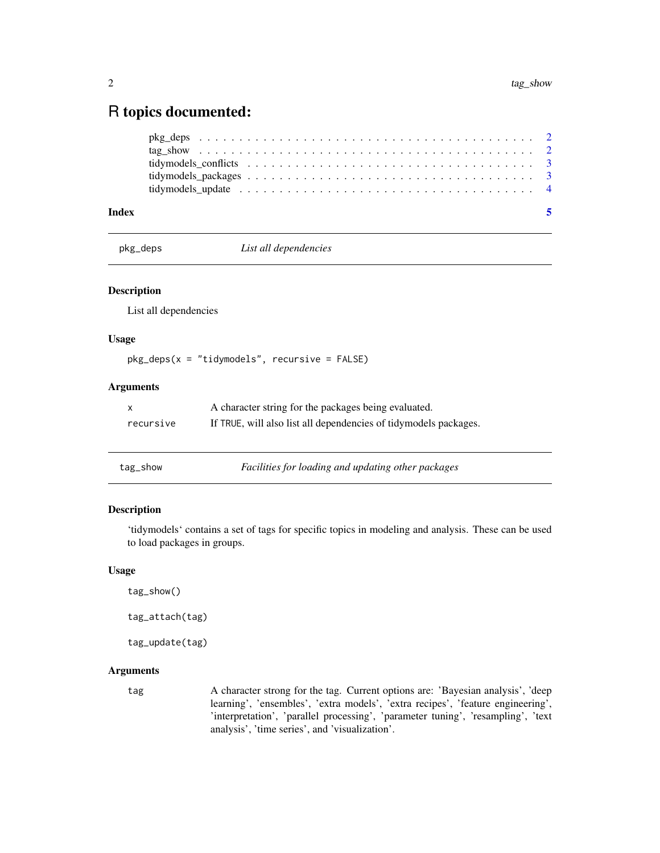### <span id="page-1-0"></span>R topics documented:

|       | tidymodels update $\ldots \ldots \ldots \ldots \ldots \ldots \ldots \ldots \ldots \ldots \ldots \ldots$ |  |
|-------|---------------------------------------------------------------------------------------------------------|--|
| Index |                                                                                                         |  |

pkg\_deps *List all dependencies*

#### Description

List all dependencies

#### Usage

pkg\_deps(x = "tidymodels", recursive = FALSE)

#### Arguments

| X         | A character string for the packages being evaluated.             |
|-----------|------------------------------------------------------------------|
| recursive | If TRUE, will also list all dependencies of tidymodels packages. |

| tag_show |  |  |
|----------|--|--|
|----------|--|--|

tag\_show *Facilities for loading and updating other packages*

#### Description

'tidymodels' contains a set of tags for specific topics in modeling and analysis. These can be used to load packages in groups.

#### Usage

```
tag_show()
```
tag\_attach(tag)

tag\_update(tag)

#### Arguments

tag A character strong for the tag. Current options are: 'Bayesian analysis', 'deep learning', 'ensembles', 'extra models', 'extra recipes', 'feature engineering', 'interpretation', 'parallel processing', 'parameter tuning', 'resampling', 'text analysis', 'time series', and 'visualization'.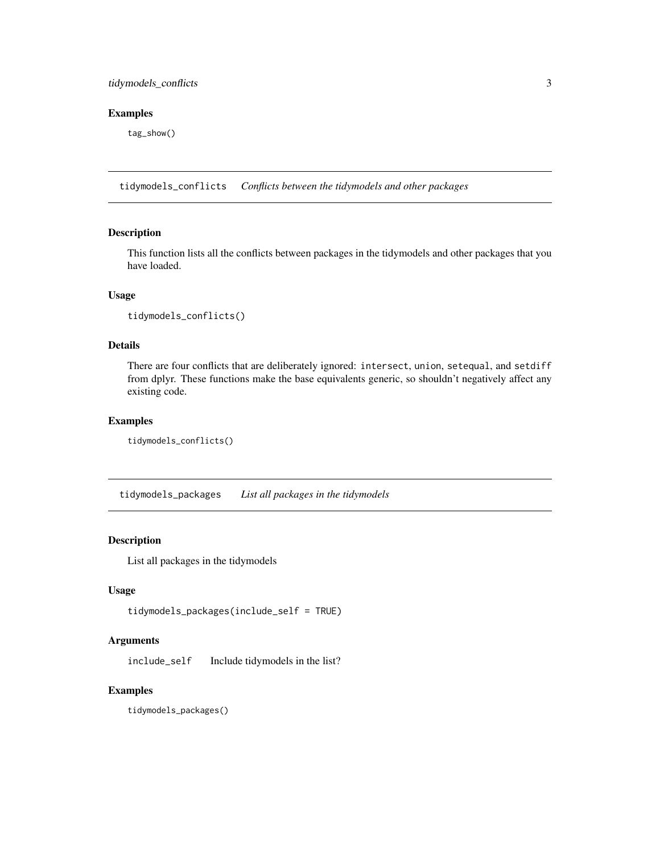#### <span id="page-2-0"></span>tidymodels\_conflicts 3

#### Examples

tag\_show()

tidymodels\_conflicts *Conflicts between the tidymodels and other packages*

#### Description

This function lists all the conflicts between packages in the tidymodels and other packages that you have loaded.

#### Usage

```
tidymodels_conflicts()
```
#### Details

There are four conflicts that are deliberately ignored: intersect, union, setequal, and setdiff from dplyr. These functions make the base equivalents generic, so shouldn't negatively affect any existing code.

#### Examples

```
tidymodels_conflicts()
```
tidymodels\_packages *List all packages in the tidymodels*

#### Description

List all packages in the tidymodels

#### Usage

tidymodels\_packages(include\_self = TRUE)

#### Arguments

include\_self Include tidymodels in the list?

#### Examples

tidymodels\_packages()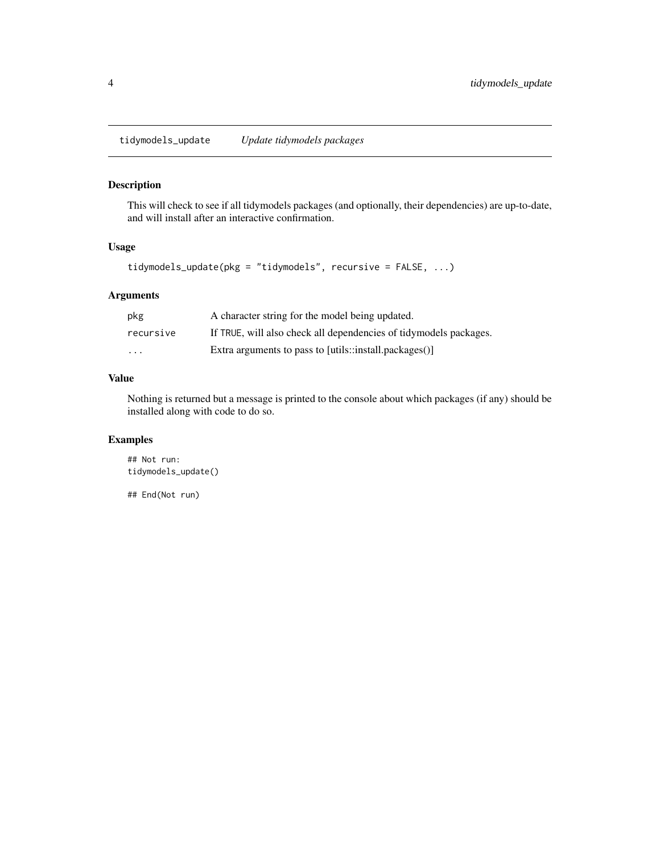<span id="page-3-0"></span>tidymodels\_update *Update tidymodels packages*

#### Description

This will check to see if all tidymodels packages (and optionally, their dependencies) are up-to-date, and will install after an interactive confirmation.

#### Usage

```
tidymodels_update(pkg = "tidymodels", recursive = FALSE, ...)
```
#### Arguments

| pkg       | A character string for the model being updated.                   |
|-----------|-------------------------------------------------------------------|
| recursive | If TRUE, will also check all dependencies of tidymodels packages. |
| $\cdots$  | Extra arguments to pass to [utils::install.packages()]            |

#### Value

Nothing is returned but a message is printed to the console about which packages (if any) should be installed along with code to do so.

#### Examples

```
## Not run:
tidymodels_update()
```
## End(Not run)